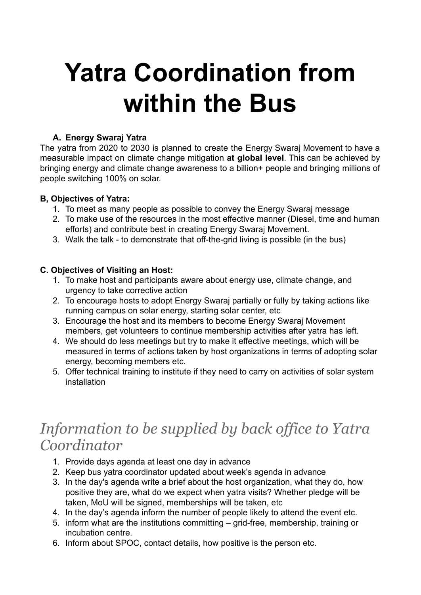# **Yatra Coordination from within the Bus**

#### **A. Energy Swaraj Yatra**

The yatra from 2020 to 2030 is planned to create the Energy Swaraj Movement to have a measurable impact on climate change mitigation **at global level**. This can be achieved by bringing energy and climate change awareness to a billion+ people and bringing millions of people switching 100% on solar.

### **B, Objectives of Yatra:**

- 1. To meet as many people as possible to convey the Energy Swaraj message
- 2. To make use of the resources in the most effective manner (Diesel, time and human efforts) and contribute best in creating Energy Swaraj Movement.
- 3. Walk the talk to demonstrate that off-the-grid living is possible (in the bus)

### **C. Objectives of Visiting an Host:**

- 1. To make host and participants aware about energy use, climate change, and urgency to take corrective action
- 2. To encourage hosts to adopt Energy Swaraj partially or fully by taking actions like running campus on solar energy, starting solar center, etc
- 3. Encourage the host and its members to become Energy Swaraj Movement members, get volunteers to continue membership activities after yatra has left.
- 4. We should do less meetings but try to make it effective meetings, which will be measured in terms of actions taken by host organizations in terms of adopting solar energy, becoming members etc.
- 5. Offer technical training to institute if they need to carry on activities of solar system installation

# *Information to be supplied by back office to Yatra Coordinator*

- 1. Provide days agenda at least one day in advance
- 2. Keep bus yatra coordinator updated about week's agenda in advance
- 3. In the day's agenda write a brief about the host organization, what they do, how positive they are, what do we expect when yatra visits? Whether pledge will be taken, MoU will be signed, memberships will be taken, etc
- 4. In the day's agenda inform the number of people likely to attend the event etc.
- 5. inform what are the institutions committing grid-free, membership, training or incubation centre.
- 6. Inform about SPOC, contact details, how positive is the person etc.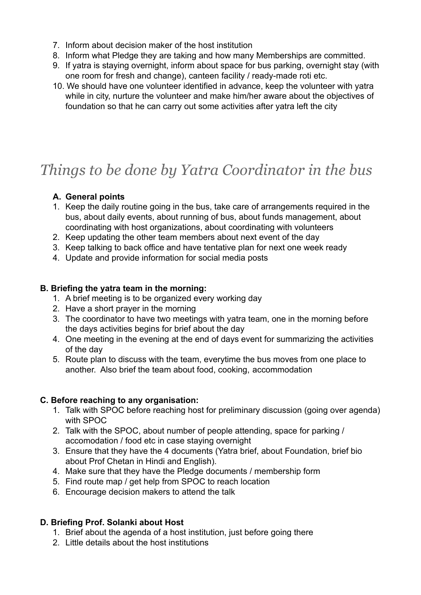- 7. Inform about decision maker of the host institution
- 8. Inform what Pledge they are taking and how many Memberships are committed.
- 9. If yatra is staying overnight, inform about space for bus parking, overnight stay (with one room for fresh and change), canteen facility / ready-made roti etc.
- 10. We should have one volunteer identified in advance, keep the volunteer with yatra while in city, nurture the volunteer and make him/her aware about the objectives of foundation so that he can carry out some activities after yatra left the city

# *Things to be done by Yatra Coordinator in the bus*

### **A. General points**

- 1. Keep the daily routine going in the bus, take care of arrangements required in the bus, about daily events, about running of bus, about funds management, about coordinating with host organizations, about coordinating with volunteers
- 2. Keep updating the other team members about next event of the day
- 3. Keep talking to back office and have tentative plan for next one week ready
- 4. Update and provide information for social media posts

### **B. Briefing the yatra team in the morning:**

- 1. A brief meeting is to be organized every working day
- 2. Have a short prayer in the morning
- 3. The coordinator to have two meetings with yatra team, one in the morning before the days activities begins for brief about the day
- 4. One meeting in the evening at the end of days event for summarizing the activities of the day
- 5. Route plan to discuss with the team, everytime the bus moves from one place to another. Also brief the team about food, cooking, accommodation

## **C. Before reaching to any organisation:**

- 1. Talk with SPOC before reaching host for preliminary discussion (going over agenda) with SPOC
- 2. Talk with the SPOC, about number of people attending, space for parking / accomodation / food etc in case staying overnight
- 3. Ensure that they have the 4 documents (Yatra brief, about Foundation, brief bio about Prof Chetan in Hindi and English).
- 4. Make sure that they have the Pledge documents / membership form
- 5. Find route map / get help from SPOC to reach location
- 6. Encourage decision makers to attend the talk

## **D. Briefing Prof. Solanki about Host**

- 1. Brief about the agenda of a host institution, just before going there
- 2. Little details about the host institutions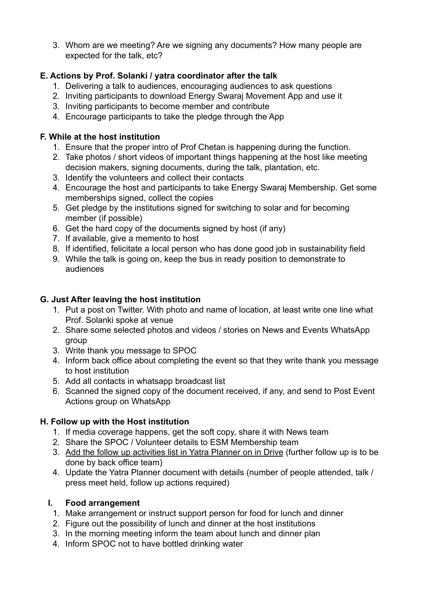3. Whom are we meeting? Are we signing any documents? How many people are expected for the talk, etc?

# **E. Actions by Prof. Solanki / yatra coordinator after the talk**

- 1. Delivering a talk to audiences, encouraging audiences to ask questions
- 2. Inviting participants to download Energy Swaraj Movement App and use it
- 3. Inviting participants to become member and contribute
- 4. Encourage participants to take the pledge through the App

# **F. While at the host institution**

- 1. Ensure that the proper intro of Prof Chetan is happening during the function.
- 2. Take photos / short videos of important things happening at the host like meeting decision makers, signing documents, during the talk, plantation, etc.
- 3. Identify the volunteers and collect their contacts
- 4. Encourage the host and participants to take Energy Swaraj Membership. Get some memberships signed, collect the copies
- 5. Get pledge by the institutions signed for switching to solar and for becoming member (if possible)
- 6. Get the hard copy of the documents signed by host (if any)
- 7. If available, give a memento to host
- 8. If identified, felicitate a local person who has done good job in sustainability field
- 9. While the talk is going on, keep the bus in ready position to demonstrate to audiences

# **G. Just After leaving the host institution**

- 1. Put a post on Twitter. With photo and name of location, at least write one line what Prof. Solanki spoke at venue
- 2. Share some selected photos and videos / stories on News and Events WhatsApp group
- 3. Write thank you message to SPOC
- 4. Inform back office about completing the event so that they write thank you message to host institution
- 5. Add all contacts in whatsapp broadcast list
- 6. Scanned the signed copy of the document received, if any, and send to Post Event Actions group on WhatsApp

# **H. Follow up with the Host institution**

- 1. If media coverage happens, get the soft copy, share it with News team
- 2. Share the SPOC / Volunteer details to ESM Membership team
- 3. Add the follow up activities list in Yatra Planner on in Drive (further follow up is to be done by back office team)
- 4. Update the Yatra Planner document with details (number of people attended, talk / press meet held, follow up actions required)

# **I. Food arrangement**

- 1. Make arrangement or instruct support person for food for lunch and dinner
- 2. Figure out the possibility of lunch and dinner at the host institutions
- 3. In the morning meeting inform the team about lunch and dinner plan
- 4. Inform SPOC not to have bottled drinking water